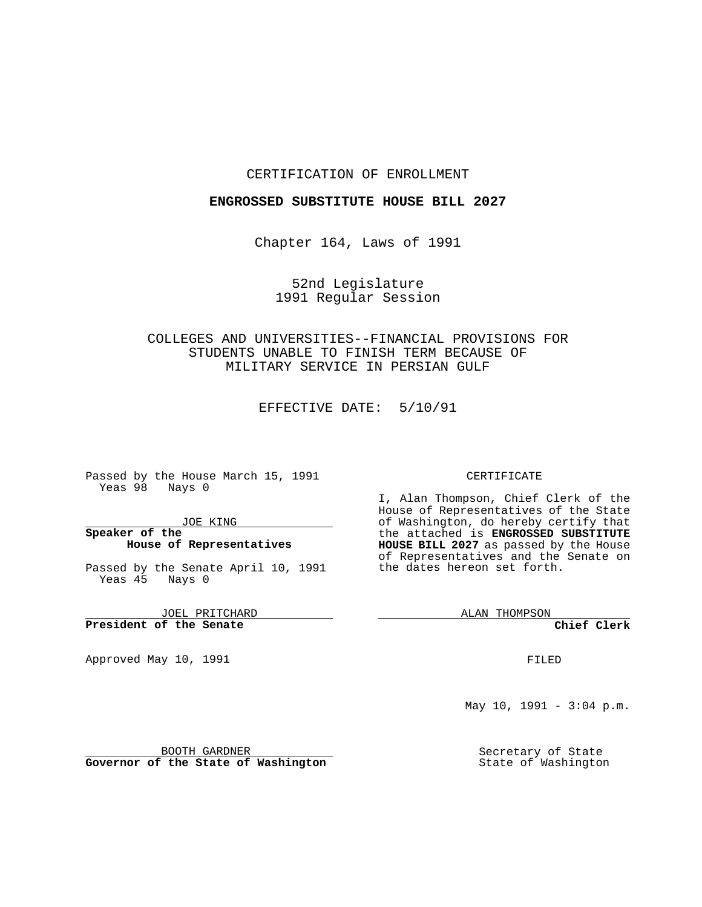#### CERTIFICATION OF ENROLLMENT

### **ENGROSSED SUBSTITUTE HOUSE BILL 2027**

Chapter 164, Laws of 1991

52nd Legislature 1991 Regular Session

## COLLEGES AND UNIVERSITIES--FINANCIAL PROVISIONS FOR STUDENTS UNABLE TO FINISH TERM BECAUSE OF MILITARY SERVICE IN PERSIAN GULF

EFFECTIVE DATE: 5/10/91

Passed by the House March 15, 1991 Yeas 98 Nays 0

JOE KING

### **Speaker of the House of Representatives**

Passed by the Senate April 10, 1991 Yeas 45 Nays 0

JOEL PRITCHARD **President of the Senate**

Approved May 10, 1991

#### CERTIFICATE

I, Alan Thompson, Chief Clerk of the House of Representatives of the State of Washington, do hereby certify that the attached is **ENGROSSED SUBSTITUTE HOUSE BILL 2027** as passed by the House of Representatives and the Senate on the dates hereon set forth.

ALAN THOMPSON

**Chief Clerk**

FILED

May 10, 1991 -  $3:04$  p.m.

Secretary of State State of Washington

BOOTH GARDNER

**Governor of the State of Washington**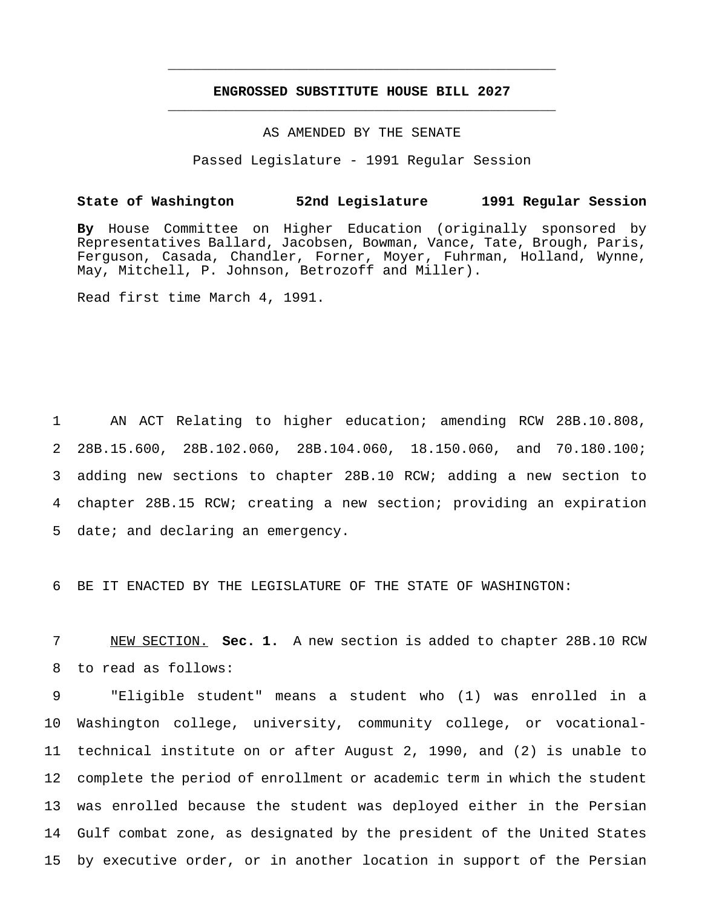# **ENGROSSED SUBSTITUTE HOUSE BILL 2027** \_\_\_\_\_\_\_\_\_\_\_\_\_\_\_\_\_\_\_\_\_\_\_\_\_\_\_\_\_\_\_\_\_\_\_\_\_\_\_\_\_\_\_\_\_\_\_

\_\_\_\_\_\_\_\_\_\_\_\_\_\_\_\_\_\_\_\_\_\_\_\_\_\_\_\_\_\_\_\_\_\_\_\_\_\_\_\_\_\_\_\_\_\_\_

#### AS AMENDED BY THE SENATE

Passed Legislature - 1991 Regular Session

### **State of Washington 52nd Legislature 1991 Regular Session**

**By** House Committee on Higher Education (originally sponsored by Representatives Ballard, Jacobsen, Bowman, Vance, Tate, Brough, Paris, Ferguson, Casada, Chandler, Forner, Moyer, Fuhrman, Holland, Wynne, May, Mitchell, P. Johnson, Betrozoff and Miller).

Read first time March 4, 1991.

 AN ACT Relating to higher education; amending RCW 28B.10.808, 28B.15.600, 28B.102.060, 28B.104.060, 18.150.060, and 70.180.100; adding new sections to chapter 28B.10 RCW; adding a new section to chapter 28B.15 RCW; creating a new section; providing an expiration date; and declaring an emergency.

6 BE IT ENACTED BY THE LEGISLATURE OF THE STATE OF WASHINGTON:

7 NEW SECTION. **Sec. 1.** A new section is added to chapter 28B.10 RCW 8 to read as follows:

 "Eligible student" means a student who (1) was enrolled in a Washington college, university, community college, or vocational- technical institute on or after August 2, 1990, and (2) is unable to complete the period of enrollment or academic term in which the student was enrolled because the student was deployed either in the Persian Gulf combat zone, as designated by the president of the United States by executive order, or in another location in support of the Persian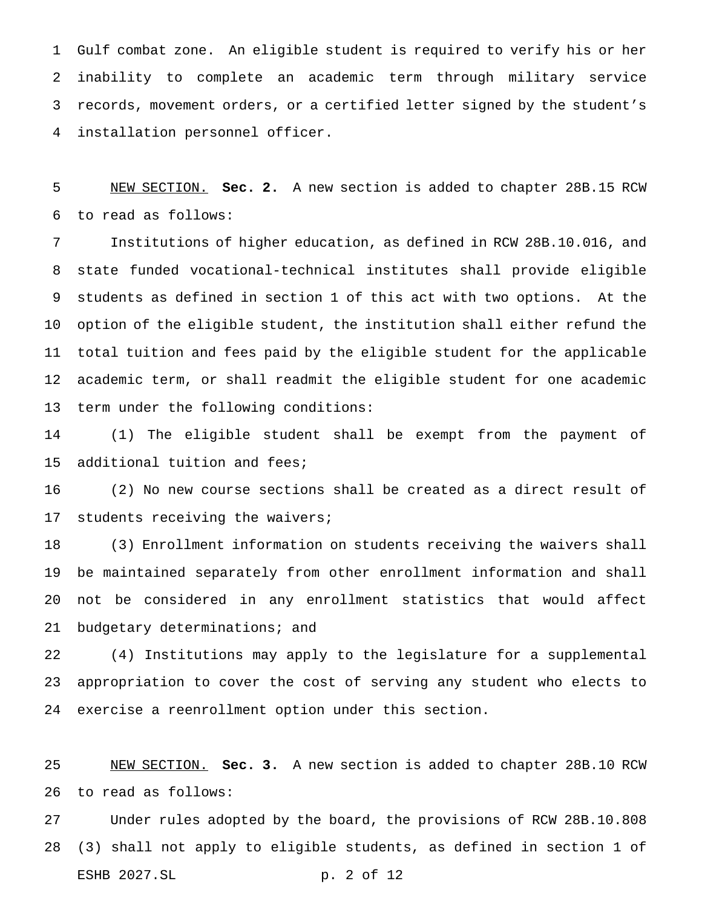Gulf combat zone. An eligible student is required to verify his or her inability to complete an academic term through military service records, movement orders, or a certified letter signed by the student's installation personnel officer.

 NEW SECTION. **Sec. 2.** A new section is added to chapter 28B.15 RCW to read as follows:

 Institutions of higher education, as defined in RCW 28B.10.016, and state funded vocational-technical institutes shall provide eligible students as defined in section 1 of this act with two options. At the option of the eligible student, the institution shall either refund the total tuition and fees paid by the eligible student for the applicable academic term, or shall readmit the eligible student for one academic term under the following conditions:

 (1) The eligible student shall be exempt from the payment of additional tuition and fees;

 (2) No new course sections shall be created as a direct result of students receiving the waivers;

 (3) Enrollment information on students receiving the waivers shall be maintained separately from other enrollment information and shall not be considered in any enrollment statistics that would affect budgetary determinations; and

 (4) Institutions may apply to the legislature for a supplemental appropriation to cover the cost of serving any student who elects to exercise a reenrollment option under this section.

 NEW SECTION. **Sec. 3.** A new section is added to chapter 28B.10 RCW to read as follows:

 Under rules adopted by the board, the provisions of RCW 28B.10.808 (3) shall not apply to eligible students, as defined in section 1 of ESHB 2027.SL p. 2 of 12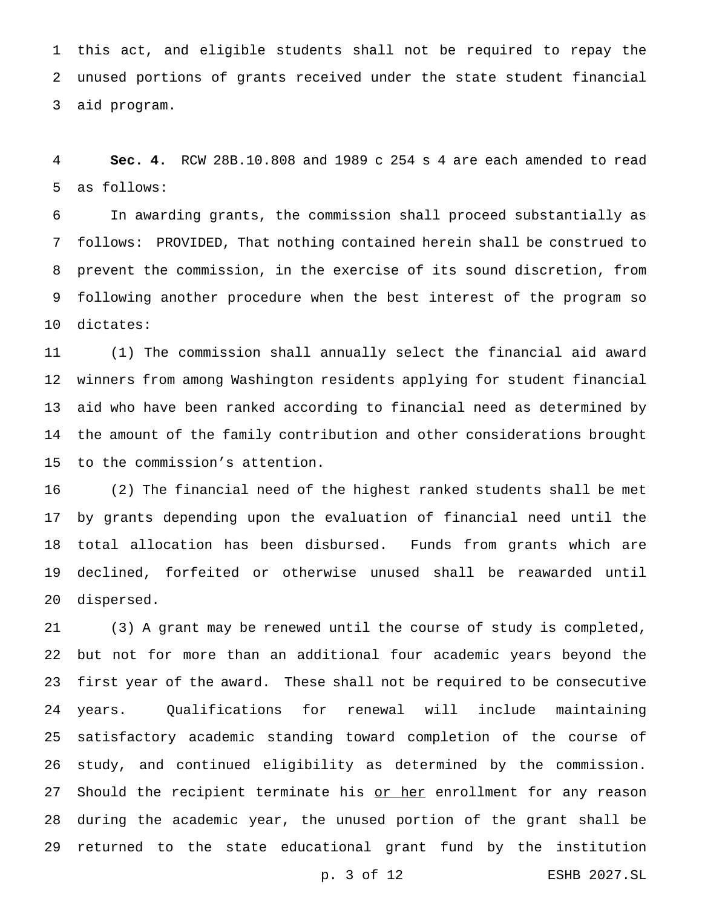this act, and eligible students shall not be required to repay the unused portions of grants received under the state student financial aid program.

 **Sec. 4.** RCW 28B.10.808 and 1989 c 254 s 4 are each amended to read as follows:

 In awarding grants, the commission shall proceed substantially as follows: PROVIDED, That nothing contained herein shall be construed to prevent the commission, in the exercise of its sound discretion, from following another procedure when the best interest of the program so dictates:

 (1) The commission shall annually select the financial aid award winners from among Washington residents applying for student financial aid who have been ranked according to financial need as determined by the amount of the family contribution and other considerations brought to the commission's attention.

 (2) The financial need of the highest ranked students shall be met by grants depending upon the evaluation of financial need until the total allocation has been disbursed. Funds from grants which are declined, forfeited or otherwise unused shall be reawarded until dispersed.

 (3) A grant may be renewed until the course of study is completed, but not for more than an additional four academic years beyond the first year of the award. These shall not be required to be consecutive years. Qualifications for renewal will include maintaining satisfactory academic standing toward completion of the course of study, and continued eligibility as determined by the commission. 27 Should the recipient terminate his or her enrollment for any reason during the academic year, the unused portion of the grant shall be returned to the state educational grant fund by the institution

p. 3 of 12 ESHB 2027.SL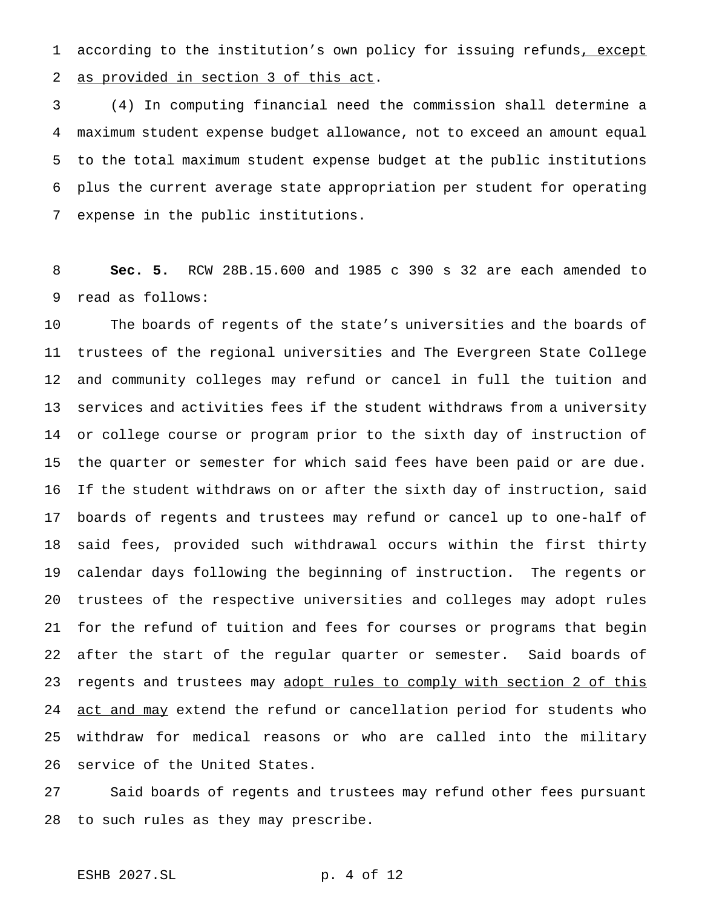1 according to the institution's own policy for issuing refunds, except as provided in section 3 of this act.

 (4) In computing financial need the commission shall determine a maximum student expense budget allowance, not to exceed an amount equal to the total maximum student expense budget at the public institutions plus the current average state appropriation per student for operating expense in the public institutions.

 **Sec. 5.** RCW 28B.15.600 and 1985 c 390 s 32 are each amended to read as follows:

 The boards of regents of the state's universities and the boards of trustees of the regional universities and The Evergreen State College and community colleges may refund or cancel in full the tuition and services and activities fees if the student withdraws from a university or college course or program prior to the sixth day of instruction of the quarter or semester for which said fees have been paid or are due. If the student withdraws on or after the sixth day of instruction, said boards of regents and trustees may refund or cancel up to one-half of said fees, provided such withdrawal occurs within the first thirty calendar days following the beginning of instruction. The regents or trustees of the respective universities and colleges may adopt rules for the refund of tuition and fees for courses or programs that begin after the start of the regular quarter or semester. Said boards of 23 regents and trustees may adopt rules to comply with section 2 of this 24 act and may extend the refund or cancellation period for students who withdraw for medical reasons or who are called into the military service of the United States.

 Said boards of regents and trustees may refund other fees pursuant to such rules as they may prescribe.

## ESHB 2027.SL p. 4 of 12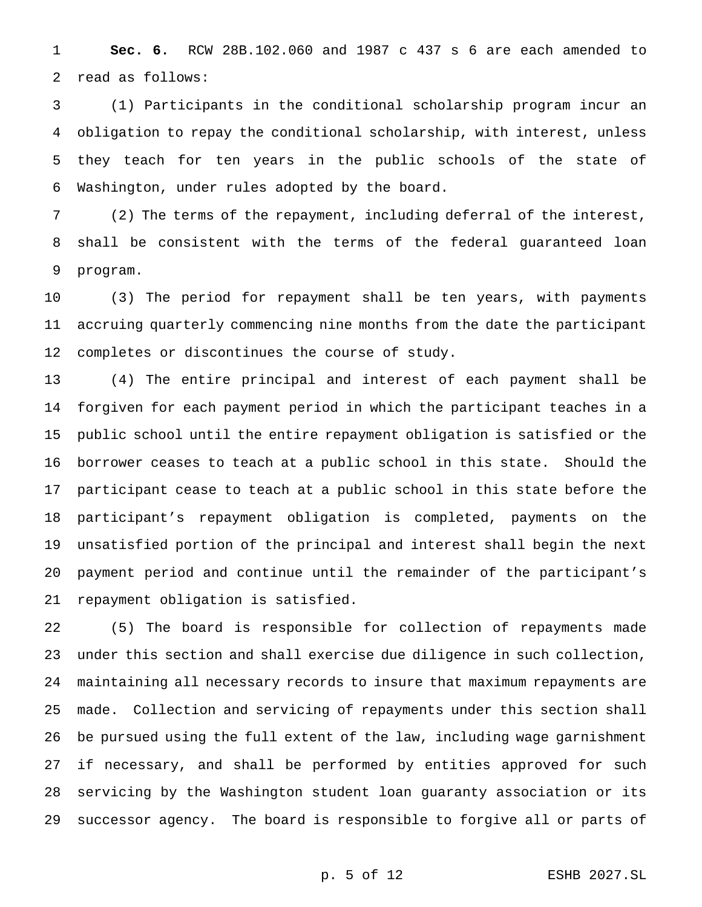**Sec. 6.** RCW 28B.102.060 and 1987 c 437 s 6 are each amended to read as follows:

 (1) Participants in the conditional scholarship program incur an obligation to repay the conditional scholarship, with interest, unless they teach for ten years in the public schools of the state of Washington, under rules adopted by the board.

 (2) The terms of the repayment, including deferral of the interest, shall be consistent with the terms of the federal guaranteed loan program.

 (3) The period for repayment shall be ten years, with payments accruing quarterly commencing nine months from the date the participant completes or discontinues the course of study.

 (4) The entire principal and interest of each payment shall be forgiven for each payment period in which the participant teaches in a public school until the entire repayment obligation is satisfied or the borrower ceases to teach at a public school in this state. Should the participant cease to teach at a public school in this state before the participant's repayment obligation is completed, payments on the unsatisfied portion of the principal and interest shall begin the next payment period and continue until the remainder of the participant's repayment obligation is satisfied.

 (5) The board is responsible for collection of repayments made under this section and shall exercise due diligence in such collection, maintaining all necessary records to insure that maximum repayments are made. Collection and servicing of repayments under this section shall be pursued using the full extent of the law, including wage garnishment if necessary, and shall be performed by entities approved for such servicing by the Washington student loan guaranty association or its successor agency. The board is responsible to forgive all or parts of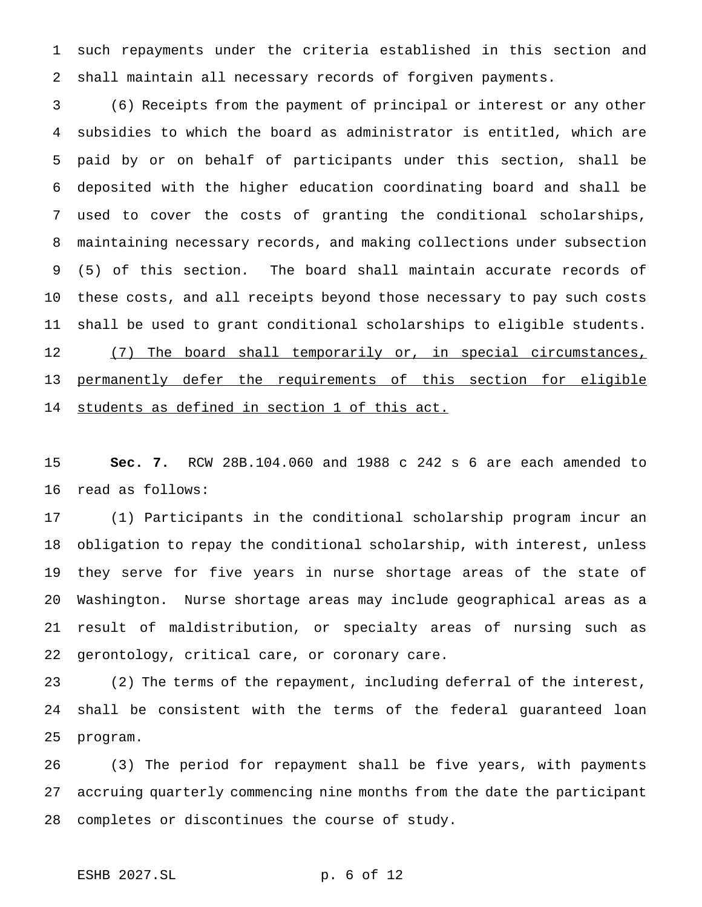such repayments under the criteria established in this section and shall maintain all necessary records of forgiven payments.

 (6) Receipts from the payment of principal or interest or any other subsidies to which the board as administrator is entitled, which are paid by or on behalf of participants under this section, shall be deposited with the higher education coordinating board and shall be used to cover the costs of granting the conditional scholarships, maintaining necessary records, and making collections under subsection (5) of this section. The board shall maintain accurate records of these costs, and all receipts beyond those necessary to pay such costs shall be used to grant conditional scholarships to eligible students. 12 (7) The board shall temporarily or, in special circumstances, 13 permanently defer the requirements of this section for eligible students as defined in section 1 of this act.

 **Sec. 7.** RCW 28B.104.060 and 1988 c 242 s 6 are each amended to read as follows:

 (1) Participants in the conditional scholarship program incur an obligation to repay the conditional scholarship, with interest, unless they serve for five years in nurse shortage areas of the state of Washington. Nurse shortage areas may include geographical areas as a result of maldistribution, or specialty areas of nursing such as gerontology, critical care, or coronary care.

 (2) The terms of the repayment, including deferral of the interest, shall be consistent with the terms of the federal guaranteed loan program.

 (3) The period for repayment shall be five years, with payments accruing quarterly commencing nine months from the date the participant completes or discontinues the course of study.

# ESHB 2027.SL p. 6 of 12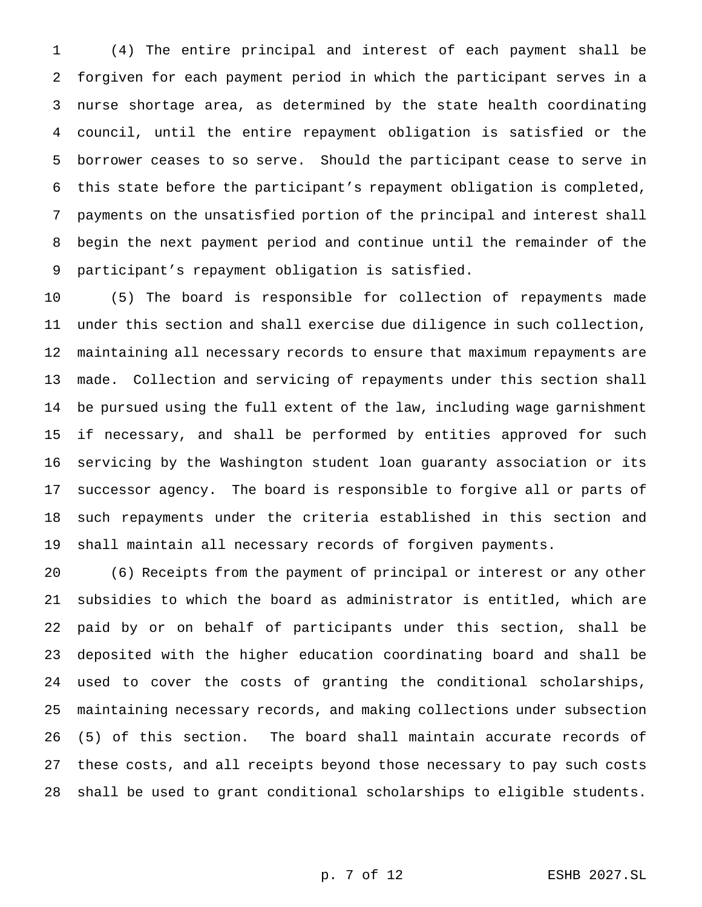(4) The entire principal and interest of each payment shall be forgiven for each payment period in which the participant serves in a nurse shortage area, as determined by the state health coordinating council, until the entire repayment obligation is satisfied or the borrower ceases to so serve. Should the participant cease to serve in this state before the participant's repayment obligation is completed, payments on the unsatisfied portion of the principal and interest shall begin the next payment period and continue until the remainder of the participant's repayment obligation is satisfied.

 (5) The board is responsible for collection of repayments made under this section and shall exercise due diligence in such collection, maintaining all necessary records to ensure that maximum repayments are made. Collection and servicing of repayments under this section shall be pursued using the full extent of the law, including wage garnishment if necessary, and shall be performed by entities approved for such servicing by the Washington student loan guaranty association or its successor agency. The board is responsible to forgive all or parts of such repayments under the criteria established in this section and shall maintain all necessary records of forgiven payments.

 (6) Receipts from the payment of principal or interest or any other subsidies to which the board as administrator is entitled, which are paid by or on behalf of participants under this section, shall be deposited with the higher education coordinating board and shall be used to cover the costs of granting the conditional scholarships, maintaining necessary records, and making collections under subsection (5) of this section. The board shall maintain accurate records of these costs, and all receipts beyond those necessary to pay such costs shall be used to grant conditional scholarships to eligible students.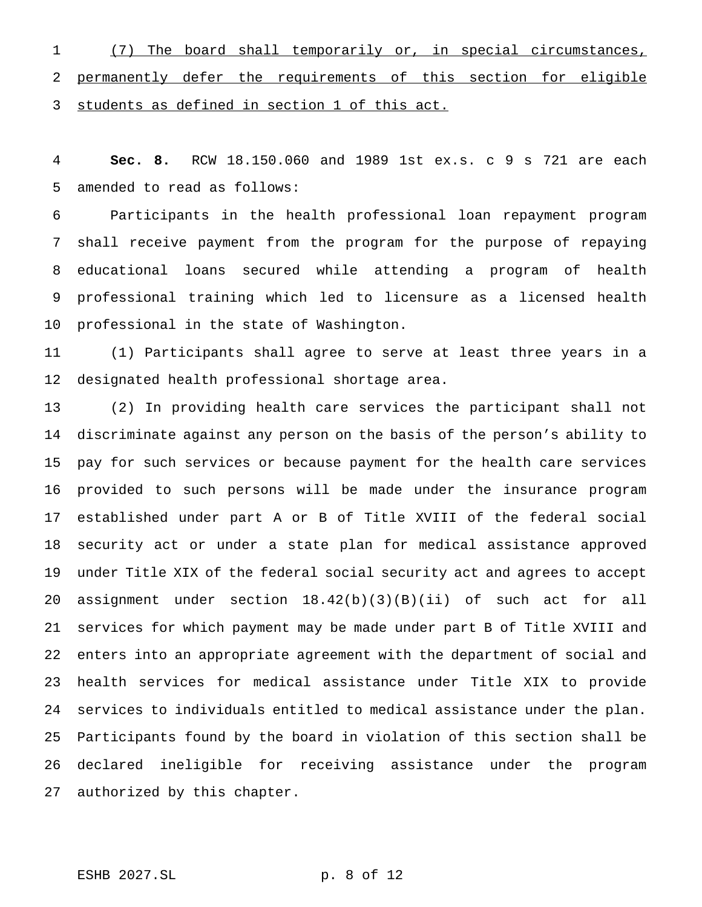(7) The board shall temporarily or, in special circumstances, permanently defer the requirements of this section for eligible students as defined in section 1 of this act.

 **Sec. 8.** RCW 18.150.060 and 1989 1st ex.s. c 9 s 721 are each amended to read as follows:

 Participants in the health professional loan repayment program shall receive payment from the program for the purpose of repaying educational loans secured while attending a program of health professional training which led to licensure as a licensed health professional in the state of Washington.

 (1) Participants shall agree to serve at least three years in a designated health professional shortage area.

 (2) In providing health care services the participant shall not discriminate against any person on the basis of the person's ability to pay for such services or because payment for the health care services provided to such persons will be made under the insurance program established under part A or B of Title XVIII of the federal social security act or under a state plan for medical assistance approved under Title XIX of the federal social security act and agrees to accept assignment under section 18.42(b)(3)(B)(ii) of such act for all services for which payment may be made under part B of Title XVIII and enters into an appropriate agreement with the department of social and health services for medical assistance under Title XIX to provide services to individuals entitled to medical assistance under the plan. Participants found by the board in violation of this section shall be declared ineligible for receiving assistance under the program authorized by this chapter.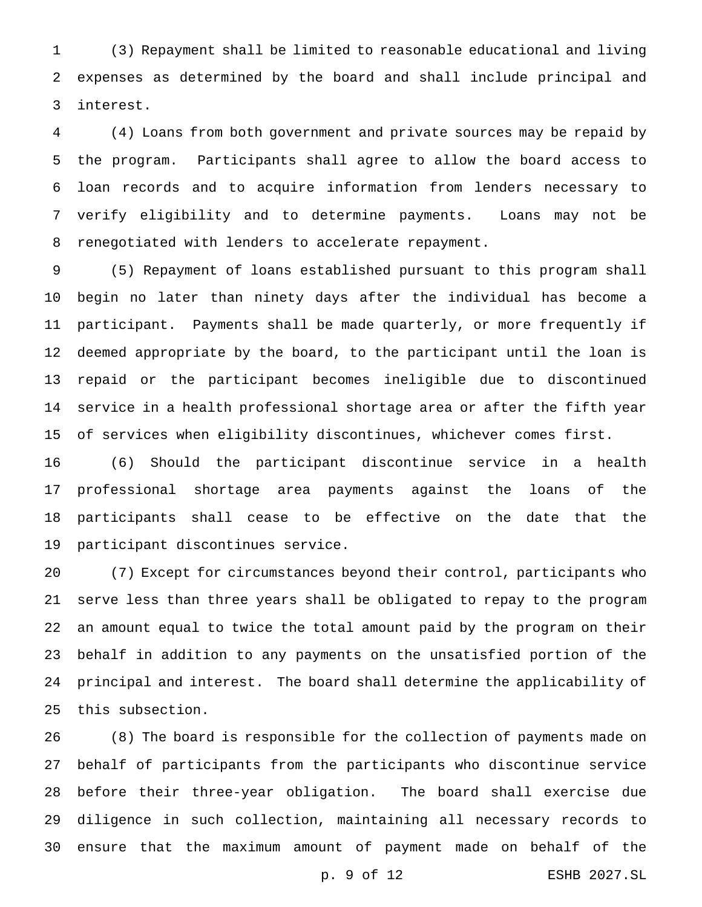(3) Repayment shall be limited to reasonable educational and living expenses as determined by the board and shall include principal and interest.

 (4) Loans from both government and private sources may be repaid by the program. Participants shall agree to allow the board access to loan records and to acquire information from lenders necessary to verify eligibility and to determine payments. Loans may not be renegotiated with lenders to accelerate repayment.

 (5) Repayment of loans established pursuant to this program shall begin no later than ninety days after the individual has become a participant. Payments shall be made quarterly, or more frequently if deemed appropriate by the board, to the participant until the loan is repaid or the participant becomes ineligible due to discontinued service in a health professional shortage area or after the fifth year of services when eligibility discontinues, whichever comes first.

 (6) Should the participant discontinue service in a health professional shortage area payments against the loans of the participants shall cease to be effective on the date that the participant discontinues service.

 (7) Except for circumstances beyond their control, participants who serve less than three years shall be obligated to repay to the program an amount equal to twice the total amount paid by the program on their behalf in addition to any payments on the unsatisfied portion of the principal and interest. The board shall determine the applicability of this subsection.

 (8) The board is responsible for the collection of payments made on behalf of participants from the participants who discontinue service before their three-year obligation. The board shall exercise due diligence in such collection, maintaining all necessary records to ensure that the maximum amount of payment made on behalf of the

p. 9 of 12 ESHB 2027.SL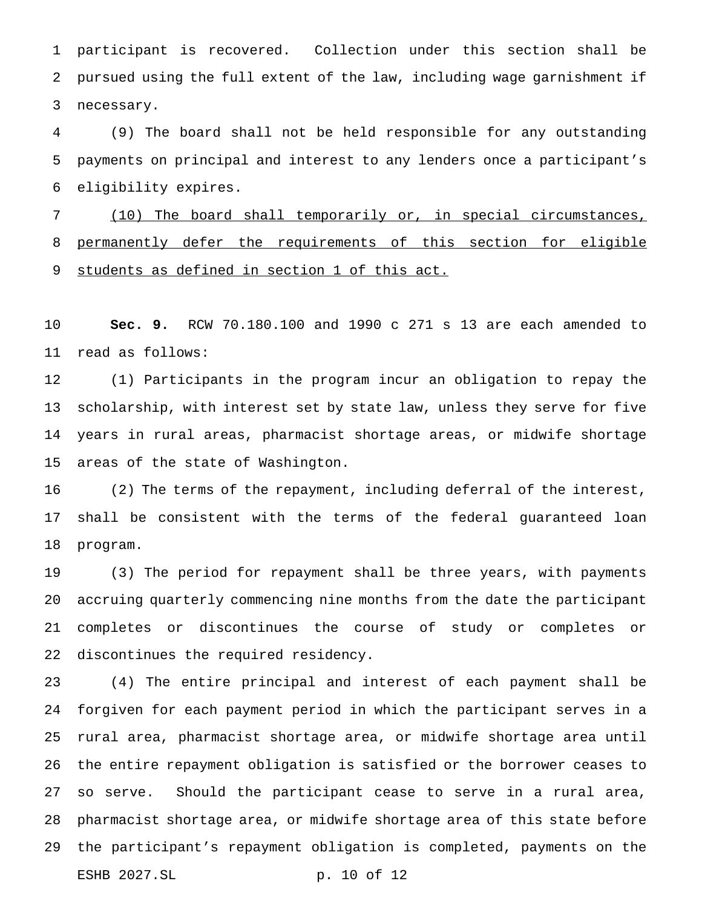participant is recovered. Collection under this section shall be pursued using the full extent of the law, including wage garnishment if necessary.

 (9) The board shall not be held responsible for any outstanding payments on principal and interest to any lenders once a participant's eligibility expires.

 (10) The board shall temporarily or, in special circumstances, permanently defer the requirements of this section for eligible 9 students as defined in section 1 of this act.

 **Sec. 9.** RCW 70.180.100 and 1990 c 271 s 13 are each amended to read as follows:

 (1) Participants in the program incur an obligation to repay the scholarship, with interest set by state law, unless they serve for five years in rural areas, pharmacist shortage areas, or midwife shortage areas of the state of Washington.

 (2) The terms of the repayment, including deferral of the interest, shall be consistent with the terms of the federal guaranteed loan program.

 (3) The period for repayment shall be three years, with payments accruing quarterly commencing nine months from the date the participant completes or discontinues the course of study or completes or discontinues the required residency.

 (4) The entire principal and interest of each payment shall be forgiven for each payment period in which the participant serves in a rural area, pharmacist shortage area, or midwife shortage area until the entire repayment obligation is satisfied or the borrower ceases to so serve. Should the participant cease to serve in a rural area, pharmacist shortage area, or midwife shortage area of this state before the participant's repayment obligation is completed, payments on the ESHB 2027.SL p. 10 of 12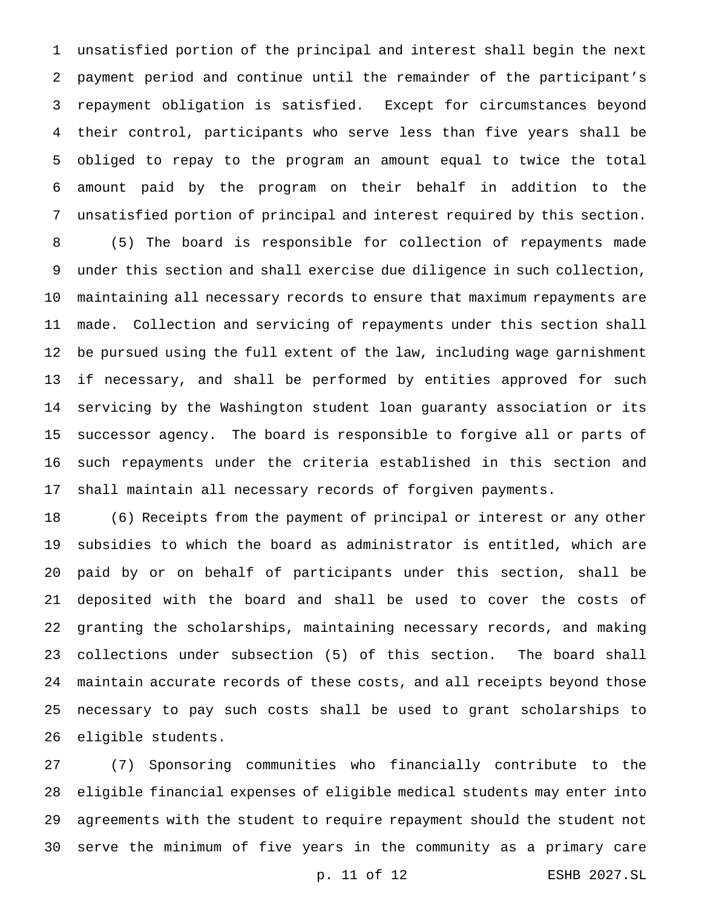unsatisfied portion of the principal and interest shall begin the next payment period and continue until the remainder of the participant's repayment obligation is satisfied. Except for circumstances beyond their control, participants who serve less than five years shall be obliged to repay to the program an amount equal to twice the total amount paid by the program on their behalf in addition to the unsatisfied portion of principal and interest required by this section. (5) The board is responsible for collection of repayments made under this section and shall exercise due diligence in such collection, maintaining all necessary records to ensure that maximum repayments are made. Collection and servicing of repayments under this section shall be pursued using the full extent of the law, including wage garnishment if necessary, and shall be performed by entities approved for such servicing by the Washington student loan guaranty association or its successor agency. The board is responsible to forgive all or parts of

 such repayments under the criteria established in this section and shall maintain all necessary records of forgiven payments.

 (6) Receipts from the payment of principal or interest or any other subsidies to which the board as administrator is entitled, which are paid by or on behalf of participants under this section, shall be deposited with the board and shall be used to cover the costs of granting the scholarships, maintaining necessary records, and making collections under subsection (5) of this section. The board shall maintain accurate records of these costs, and all receipts beyond those necessary to pay such costs shall be used to grant scholarships to eligible students.

 (7) Sponsoring communities who financially contribute to the eligible financial expenses of eligible medical students may enter into agreements with the student to require repayment should the student not serve the minimum of five years in the community as a primary care

p. 11 of 12 ESHB 2027.SL